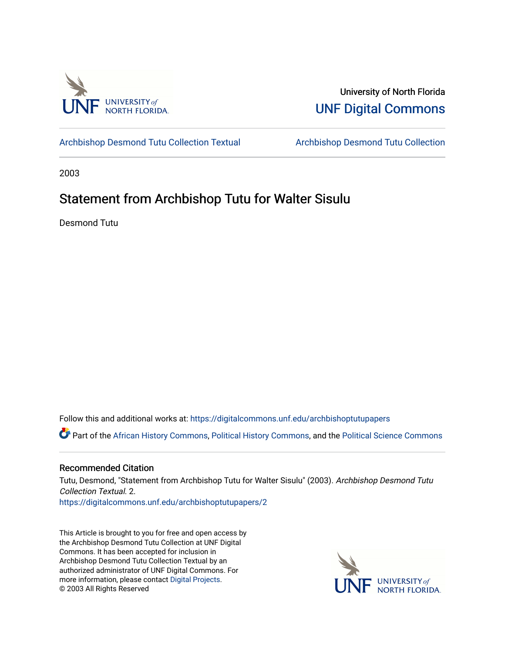

University of North Florida [UNF Digital Commons](https://digitalcommons.unf.edu/) 

[Archbishop Desmond Tutu Collection Textual](https://digitalcommons.unf.edu/archbishoptutupapers) [Archbishop Desmond Tutu Collection](https://digitalcommons.unf.edu/archbishoptutu) 

2003

## Statement from Archbishop Tutu for Walter Sisulu

Desmond Tutu

Follow this and additional works at: [https://digitalcommons.unf.edu/archbishoptutupapers](https://digitalcommons.unf.edu/archbishoptutupapers?utm_source=digitalcommons.unf.edu%2Farchbishoptutupapers%2F2&utm_medium=PDF&utm_campaign=PDFCoverPages)

Part of the [African History Commons](http://network.bepress.com/hgg/discipline/490?utm_source=digitalcommons.unf.edu%2Farchbishoptutupapers%2F2&utm_medium=PDF&utm_campaign=PDFCoverPages), [Political History Commons,](http://network.bepress.com/hgg/discipline/505?utm_source=digitalcommons.unf.edu%2Farchbishoptutupapers%2F2&utm_medium=PDF&utm_campaign=PDFCoverPages) and the [Political Science Commons](http://network.bepress.com/hgg/discipline/386?utm_source=digitalcommons.unf.edu%2Farchbishoptutupapers%2F2&utm_medium=PDF&utm_campaign=PDFCoverPages) 

## Recommended Citation

Tutu, Desmond, "Statement from Archbishop Tutu for Walter Sisulu" (2003). Archbishop Desmond Tutu Collection Textual. 2. [https://digitalcommons.unf.edu/archbishoptutupapers/2](https://digitalcommons.unf.edu/archbishoptutupapers/2?utm_source=digitalcommons.unf.edu%2Farchbishoptutupapers%2F2&utm_medium=PDF&utm_campaign=PDFCoverPages) 

This Article is brought to you for free and open access by the Archbishop Desmond Tutu Collection at UNF Digital Commons. It has been accepted for inclusion in Archbishop Desmond Tutu Collection Textual by an authorized administrator of UNF Digital Commons. For more information, please contact [Digital Projects](mailto:lib-digital@unf.edu). © 2003 All Rights Reserved

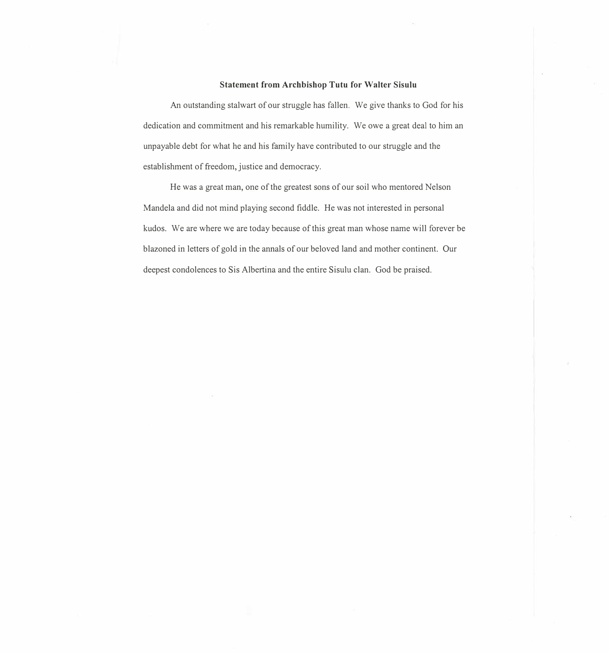## **Statement from Archbishop Tutu for Walter Sisulu**

An outstanding stalwart of our struggle has fallen. We give thanks to God for his dedication and commitment and his remarkable humility. We owe a great deal to him an unpayable debt for what he and his family have contributed to our struggle and the establishment of freedom, justice and democracy.

He was a great man, one of the greatest sons of our soil who mentored Nelson Mandela and did not mind playing second fiddle. He was not interested in personal kudos. We are where we are today because of this great man whose name will forever be blazoned in letters of gold in the annals of our beloved land and mother continent. Our deepest condolences to Sis Albertina and the entire Sisulu clan. God be praised.